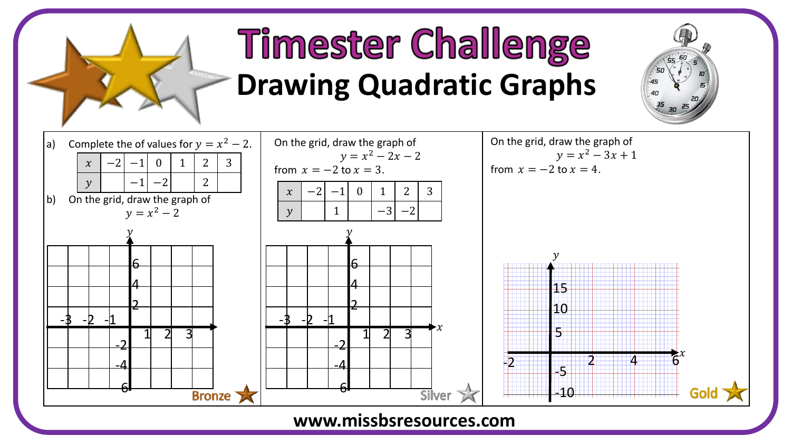

## **Timester Challenge Drawing Quadratic Graphs**





## **www.missbsresources.com**